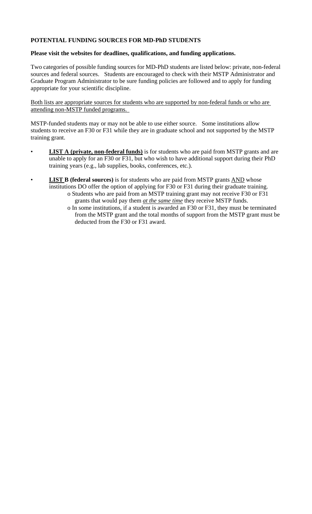## **POTENTIAL FUNDING SOURCES FOR MD-PhD STUDENTS**

#### **Please visit the websites for deadlines, qualifications, and funding applications.**

Two categories of possible funding sources for MD-PhD students are listed below: private, non-federal sources and federal sources. Students are encouraged to check with their MSTP Administrator and Graduate Program Administrator to be sure funding policies are followed and to apply for funding appropriate for your scientific discipline.

Both lists are appropriate sources for students who are supported by non-federal funds or who are attending non-MSTP funded programs.

MSTP-funded students may or may not be able to use either source. Some institutions allow students to receive an F30 or F31 while they are in graduate school and not supported by the MSTP training grant.

- **LIST A (private, non-federal funds)** is for students who are paid from MSTP grants and are unable to apply for an F30 or F31, but who wish to have additional support during their PhD training years (e.g., lab supplies, books, conferences, etc.).
- **LIST B** (federal sources) is for students who are paid from MSTP grants AND whose institutions DO offer the option of applying for F30 or F31 during their graduate training.
	- o Students who are paid from an MSTP training grant may not receive F30 or F31 grants that would pay them *at the same time* they receive MSTP funds.
	- o In some institutions, if a student is awarded an F30 or F31, they must be terminated from the MSTP grant and the total months of support from the MSTP grant must be deducted from the F30 or F31 award.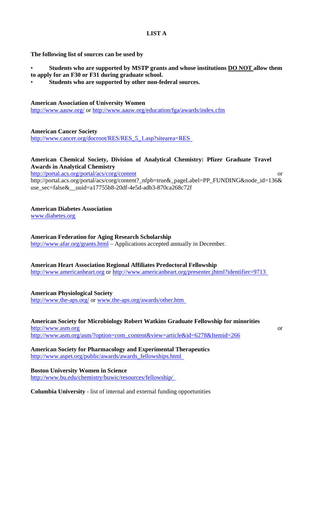## **LIST A**

### **The following list of sources can be used by**

- **Students who are supported by MSTP grants and whose institutions DO NOT allow them**
- **to apply for an F30 or F31 during graduate school.** 
	- **Students who are supported by other non-federal sources.**

### **American Association of University Women**

http://www.aauw.org/ or http://www.aauw.org/education/fga/awards/index.cfm

**American Cancer Society** 

http://www.cancer.org/docroot/RES/RES\_5\_1.asp?sitearea=RES

## **American Chemical Society, Division of Analytical Chemistry: Pfizer Graduate Travel Awards in Analytical Chemistry**

http://portal.acs.org/portal/acs/corg/content or

http://portal.acs.org/portal/acs/corg/content?\_nfpb=true&\_pageLabel=PP\_FUNDING&node\_id=136& use\_sec=false&\_\_uuid=a17755b8-20df-4e5d-adb3-870ca268c72f

## **American Diabetes Association**

www.diabetes.org

#### **American Federation for Aging Research Scholarship**

http://www.afar.org/grants.html – Applications accepted annually in December.

#### **American Heart Association Regional Affiliates Predoctoral Fellowship**

http://www.americanheart.org or http://www.americanheart.org/presenter.jhtml?identifier=9713

#### **American Physiological Society**

http://www.the-aps.org/ or www.the-aps.org/awards/other.htm

## **American Society for Microbiology Robert Watkins Graduate Fellowship for minorities**

http://www.asm.org or http://www.asm.org/asm/?option=com\_content&view=article&id=6278&Itemid=266

**American Society for Pharmacology and Experimental Therapeutics**  http://www.aspet.org/public/awards/awards\_fellowships.html

**Boston University Women in Science**  http://www.bu.edu/chemistry/buwic/resources/fellowship/

**Columbia University** - list of internal and external funding opportunities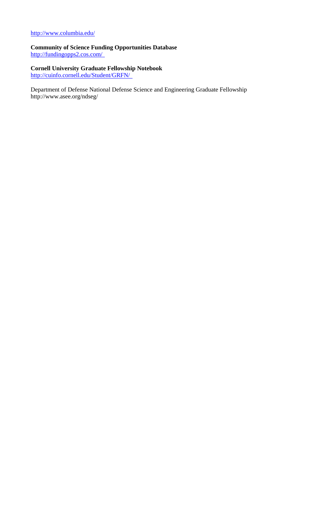## http://www.columbia.edu/

**Community of Science Funding Opportunities Database**  http://fundingopps2.cos.com/

# **Cornell University Graduate Fellowship Notebook**

http://cuinfo.cornell.edu/Student/GRFN/

Department of Defense National Defense Science and Engineering Graduate Fellowship http://www.asee.org/ndseg/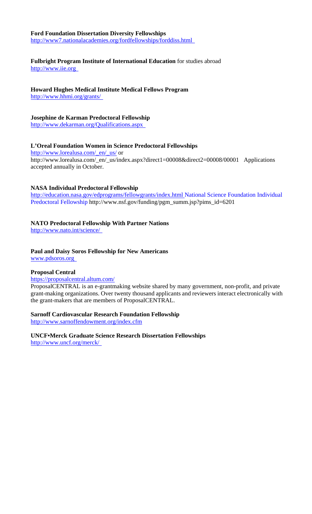## **Ford Foundation Dissertation Diversity Fellowships**

http://www7.nationalacademies.org/fordfellowships/forddiss.html

## **Fulbright Program Institute of International Education** for studies abroad

http://www.iie.org

## **Howard Hughes Medical Institute Medical Fellows Program**

http://www.hhmi.org/grants/

## **Josephine de Karman Predoctoral Fellowship**

http://www.dekarman.org/Qualifications.aspx

## **L'Oreal Foundation Women in Science Predoctoral Fellowships**

http://www.lorealusa.com/\_en/\_us/ or http://www.lorealusa.com/\_en/\_us/index.aspx?direct1=00008&direct2=00008/00001 Applications accepted annually in October.

## **NASA Individual Predoctoral Fellowship**

http://education.nasa.gov/edprograms/fellowgrants/index.html National Science Foundation Individual Predoctoral Fellowship http://www.nsf.gov/funding/pgm\_summ.jsp?pims\_id=6201

## **NATO Predoctoral Fellowship With Partner Nations**

http://www.nato.int/science/

## **Paul and Daisy Soros Fellowship for New Americans**

www.pdsoros.org

## **Proposal Central**

#### https://proposalcentral.altum.com/

ProposalCENTRAL is an e-grantmaking website shared by many government, non-profit, and private grant-making organizations. Over twenty thousand applicants and reviewers interact electronically with the grant-makers that are members of ProposalCENTRAL.

#### **Sarnoff Cardiovascular Research Foundation Fellowship**

http://www.sarnoffendowment.org/index.cfm

**UNCF•Merck Graduate Science Research Dissertation Fellowships**  http://www.uncf.org/merck/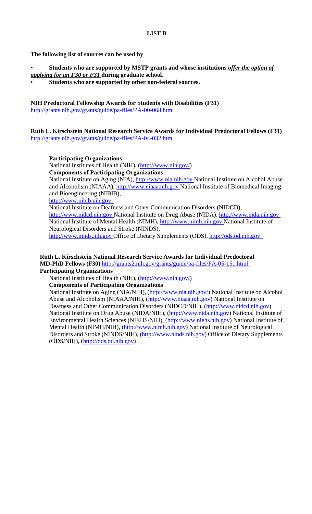### **The following list of sources can be used by**

- **Students who are supported by MSTP grants and whose institutions** *offer the option of applying for an F30 or F31* **during graduate school.**
- **Students who are supported by other non-federal sources.**

## **NIH Predoctoral Fellowship Awards for Students with Disabilities (F31)**

http://grants.nih.gov/grants/guide/pa-files/PA-00-068.html

### **Ruth L. Kirschstein National Research Service Awards for Individual Predoctoral Fellows (F31)**  http://grants.nih.gov/grants/guide/pa-files/PA-04-032.html

#### **Participating Organizations**

National Institutes of Health (NIH), (http://www.nih.gov/) **Components of Participating Organizations** 

National Institute on Aging (NIA), http://www.nia.nih.gov National Institute on Alcohol Abuse and Alcoholism (NIAAA), http://www.niaaa.nih.gov National Institute of Biomedical Imaging and Bioengineering (NIBIB),

#### http://www.nibib.nih.gov

National Institute on Deafness and Other Communication Disorders (NIDCD),

http://www.nidcd.nih.gov National Institute on Drug Abuse (NIDA), http://www.nida.nih.gov National Institute of Mental Health (NIMH), http://www.nimh.nih.gov National Institute of Neurological Disorders and Stroke (NINDS),

http://www.ninds.nih.gov Office of Dietary Supplements (ODS), http://ods.od.nih.gov

## **Ruth L. Kirschstein National Research Service Awards for Individual Predoctoral MD-PhD Fellows (F30)** http://grants2.nih.gov/grants/guide/pa-files/PA-05-151.html

#### **Participating Organizations**

National Institutes of Health (NIH), (http://www.nih.gov/)

**Components of Participating Organizations** 

National Institute on Aging (NIA/NIH), (http://www.nia.nih.gov/) National Institute on Alcohol Abuse and Alcoholism (NIAAA/NIH), (http://www.niaaa.nih.gov) National Institute on Deafness and Other Communication Disorders (NIDCD/NIH), (http://www.nidcd.nih.gov) National Institute on Drug Abuse (NIDA/NIH), (http://www.nida.nih.gov) National Institute of Environmental Health Sciences (NIEHS/NIH), (http://www.niehs.nih.gov) National Institute of Mental Health (NIMH/NIH), (http://www.nimh.nih.gov) National Institute of Neurological Disorders and Stroke (NINDS/NIH), (http://www.ninds.nih.gov) Office of Dietary Supplements (ODS/NIH), (http://ods.od.nih.gov)